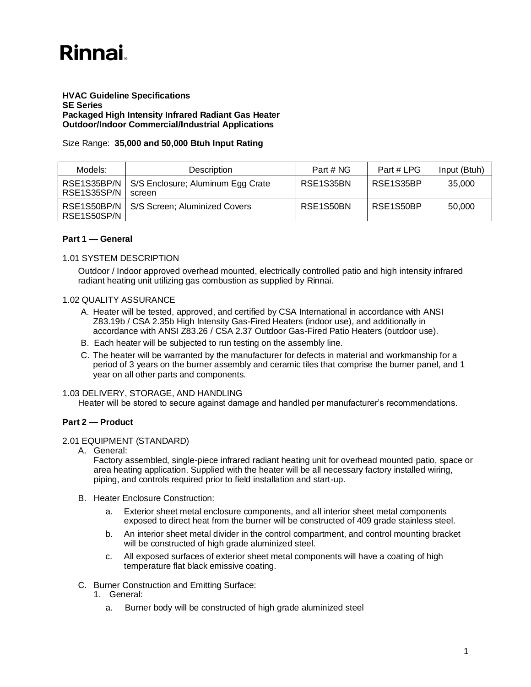# **Rinnai**

## **HVAC Guideline Specifications SE Series Packaged High Intensity Infrared Radiant Gas Heater Outdoor/Indoor Commercial/Industrial Applications**

# Size Range: **35,000 and 50,000 Btuh Input Rating**

| Models:                    | <b>Description</b>                          | Part # NG | Part # LPG | Input (Btuh) |
|----------------------------|---------------------------------------------|-----------|------------|--------------|
| RSE1S35BP/N<br>RSE1S35SP/N | S/S Enclosure; Aluminum Egg Crate<br>screen | RSE1S35BN | RSE1S35BP  | 35,000       |
| RSE1S50BP/N<br>RSE1S50SP/N | S/S Screen: Aluminized Covers               | RSE1S50BN | RSE1S50BP  | 50.000       |

## **Part 1 — General**

## 1.01 SYSTEM DESCRIPTION

Outdoor / Indoor approved overhead mounted, electrically controlled patio and high intensity infrared radiant heating unit utilizing gas combustion as supplied by Rinnai.

## 1.02 QUALITY ASSURANCE

- A. Heater will be tested, approved, and certified by CSA International in accordance with ANSI Z83.19b / CSA 2.35b High Intensity Gas-Fired Heaters (indoor use), and additionally in accordance with ANSI Z83.26 / CSA 2.37 Outdoor Gas-Fired Patio Heaters (outdoor use).
- B. Each heater will be subjected to run testing on the assembly line.
- C. The heater will be warranted by the manufacturer for defects in material and workmanship for a period of 3 years on the burner assembly and ceramic tiles that comprise the burner panel, and 1 year on all other parts and components.

# 1.03 DELIVERY, STORAGE, AND HANDLING

Heater will be stored to secure against damage and handled per manufacturer's recommendations.

# **Part 2 — Product**

# 2.01 EQUIPMENT (STANDARD)

A. General:

Factory assembled, single-piece infrared radiant heating unit for overhead mounted patio, space or area heating application. Supplied with the heater will be all necessary factory installed wiring, piping, and controls required prior to field installation and start-up.

- B. Heater Enclosure Construction:
	- a. Exterior sheet metal enclosure components, and all interior sheet metal components exposed to direct heat from the burner will be constructed of 409 grade stainless steel.
	- b. An interior sheet metal divider in the control compartment, and control mounting bracket will be constructed of high grade aluminized steel.
	- c. All exposed surfaces of exterior sheet metal components will have a coating of high temperature flat black emissive coating.
- C. Burner Construction and Emitting Surface:
	- 1. General:
		- a. Burner body will be constructed of high grade aluminized steel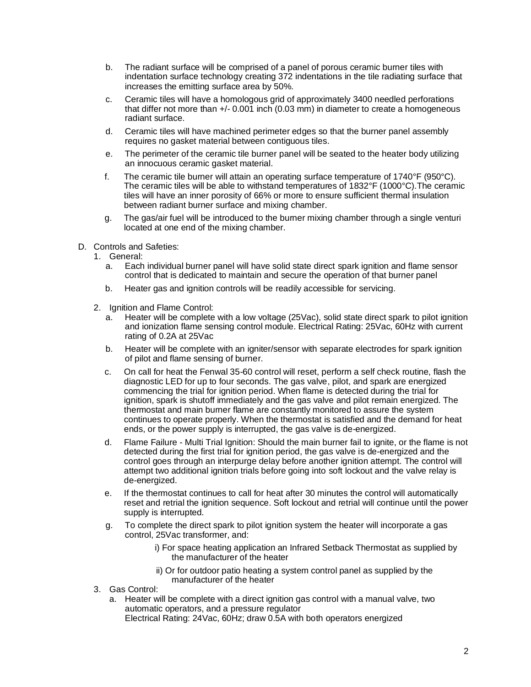- b. The radiant surface will be comprised of a panel of porous ceramic burner tiles with indentation surface technology creating 372 indentations in the tile radiating surface that increases the emitting surface area by 50%.
- c. Ceramic tiles will have a homologous grid of approximately 3400 needled perforations that differ not more than +/- 0.001 inch (0.03 mm) in diameter to create a homogeneous radiant surface.
- d. Ceramic tiles will have machined perimeter edges so that the burner panel assembly requires no gasket material between contiguous tiles.
- e. The perimeter of the ceramic tile burner panel will be seated to the heater body utilizing an innocuous ceramic gasket material.
- f. The ceramic tile burner will attain an operating surface temperature of  $1740^{\circ}$ F (950 $^{\circ}$ C). The ceramic tiles will be able to withstand temperatures of 1832°F (1000°C).The ceramic tiles will have an inner porosity of 66% or more to ensure sufficient thermal insulation between radiant burner surface and mixing chamber.
- g. The gas/air fuel will be introduced to the burner mixing chamber through a single venturi located at one end of the mixing chamber.
- D. Controls and Safeties:
	- 1. General:
		- a. Each individual burner panel will have solid state direct spark ignition and flame sensor control that is dedicated to maintain and secure the operation of that burner panel
		- b. Heater gas and ignition controls will be readily accessible for servicing.
	- 2. Ignition and Flame Control:
		- a. Heater will be complete with a low voltage (25Vac), solid state direct spark to pilot ignition and ionization flame sensing control module. Electrical Rating: 25Vac, 60Hz with current rating of 0.2A at 25Vac
		- b. Heater will be complete with an igniter/sensor with separate electrodes for spark ignition of pilot and flame sensing of burner.
		- c. On call for heat the Fenwal 35-60 control will reset, perform a self check routine, flash the diagnostic LED for up to four seconds. The gas valve, pilot, and spark are energized commencing the trial for ignition period. When flame is detected during the trial for ignition, spark is shutoff immediately and the gas valve and pilot remain energized. The thermostat and main burner flame are constantly monitored to assure the system continues to operate properly. When the thermostat is satisfied and the demand for heat ends, or the power supply is interrupted, the gas valve is de-energized.
		- d. Flame Failure Multi Trial Ignition: Should the main burner fail to ignite, or the flame is not detected during the first trial for ignition period, the gas valve is de-energized and the control goes through an interpurge delay before another ignition attempt. The control will attempt two additional ignition trials before going into soft lockout and the valve relay is de-energized.
		- e. If the thermostat continues to call for heat after 30 minutes the control will automatically reset and retrial the ignition sequence. Soft lockout and retrial will continue until the power supply is interrupted.
		- g. To complete the direct spark to pilot ignition system the heater will incorporate a gas control, 25Vac transformer, and:
			- i) For space heating application an Infrared Setback Thermostat as supplied by the manufacturer of the heater
			- ii) Or for outdoor patio heating a system control panel as supplied by the manufacturer of the heater
	- 3. Gas Control:
		- a. Heater will be complete with a direct ignition gas control with a manual valve, two automatic operators, and a pressure regulator Electrical Rating: 24Vac, 60Hz; draw 0.5A with both operators energized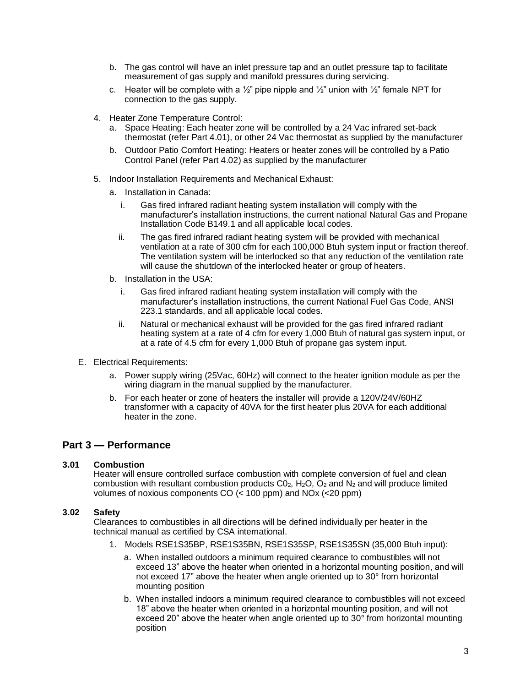- b. The gas control will have an inlet pressure tap and an outlet pressure tap to facilitate measurement of gas supply and manifold pressures during servicing.
- c. Heater will be complete with a  $\frac{1}{2}$ " pipe nipple and  $\frac{1}{2}$ " union with  $\frac{1}{2}$ " female NPT for connection to the gas supply.
- 4. Heater Zone Temperature Control:
	- a. Space Heating: Each heater zone will be controlled by a 24 Vac infrared set-back thermostat (refer Part 4.01), or other 24 Vac thermostat as supplied by the manufacturer
	- b. Outdoor Patio Comfort Heating: Heaters or heater zones will be controlled by a Patio Control Panel (refer Part 4.02) as supplied by the manufacturer
- 5. Indoor Installation Requirements and Mechanical Exhaust:
	- a. Installation in Canada:
		- i. Gas fired infrared radiant heating system installation will comply with the manufacturer's installation instructions, the current national Natural Gas and Propane Installation Code B149.1 and all applicable local codes.
		- ii. The gas fired infrared radiant heating system will be provided with mechanical ventilation at a rate of 300 cfm for each 100,000 Btuh system input or fraction thereof. The ventilation system will be interlocked so that any reduction of the ventilation rate will cause the shutdown of the interlocked heater or group of heaters.
	- b. Installation in the USA:
		- i. Gas fired infrared radiant heating system installation will comply with the manufacturer's installation instructions, the current National Fuel Gas Code, ANSI 223.1 standards, and all applicable local codes.
		- ii. Natural or mechanical exhaust will be provided for the gas fired infrared radiant heating system at a rate of 4 cfm for every 1,000 Btuh of natural gas system input, or at a rate of 4.5 cfm for every 1,000 Btuh of propane gas system input.
- E. Electrical Requirements:
	- a. Power supply wiring (25Vac, 60Hz) will connect to the heater ignition module as per the wiring diagram in the manual supplied by the manufacturer.
	- b. For each heater or zone of heaters the installer will provide a 120V/24V/60HZ transformer with a capacity of 40VA for the first heater plus 20VA for each additional heater in the zone.

# **Part 3 — Performance**

# **3.01 Combustion**

Heater will ensure controlled surface combustion with complete conversion of fuel and clean combustion with resultant combustion products  $CO<sub>2</sub>$ , H<sub>2</sub>O,  $O<sub>2</sub>$  and N<sub>2</sub> and will produce limited volumes of noxious components CO (< 100 ppm) and NOx (<20 ppm)

# **3.02 Safety**

Clearances to combustibles in all directions will be defined individually per heater in the technical manual as certified by CSA international.

- 1. Models RSE1S35BP, RSE1S35BN, RSE1S35SP, RSE1S35SN (35,000 Btuh input):
	- a. When installed outdoors a minimum required clearance to combustibles will not exceed 13" above the heater when oriented in a horizontal mounting position, and will not exceed 17" above the heater when angle oriented up to 30° from horizontal mounting position
	- b. When installed indoors a minimum required clearance to combustibles will not exceed 18" above the heater when oriented in a horizontal mounting position, and will not exceed 20" above the heater when angle oriented up to 30° from horizontal mounting position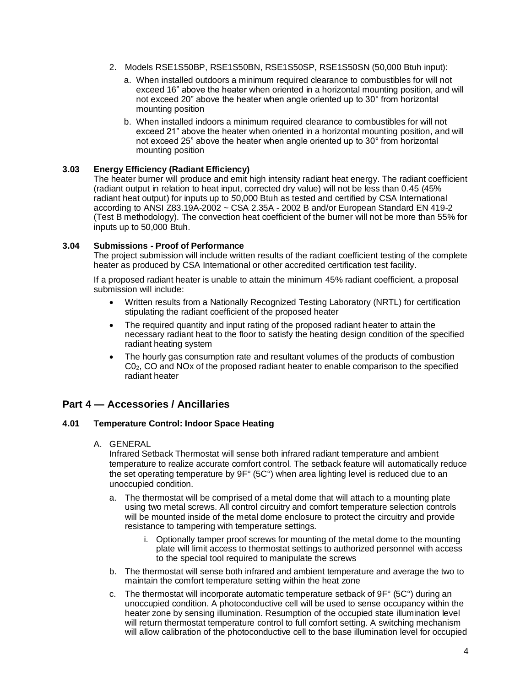- 2. Models RSE1S50BP, RSE1S50BN, RSE1S50SP, RSE1S50SN (50,000 Btuh input):
	- a. When installed outdoors a minimum required clearance to combustibles for will not exceed 16" above the heater when oriented in a horizontal mounting position, and will not exceed 20" above the heater when angle oriented up to 30° from horizontal mounting position
	- b. When installed indoors a minimum required clearance to combustibles for will not exceed 21" above the heater when oriented in a horizontal mounting position, and will not exceed 25" above the heater when angle oriented up to 30° from horizontal mounting position

# **3.03 Energy Efficiency (Radiant Efficiency)**

The heater burner will produce and emit high intensity radiant heat energy. The radiant coefficient (radiant output in relation to heat input, corrected dry value) will not be less than 0.45 (45% radiant heat output) for inputs up to *5*0,000 Btuh as tested and certified by CSA International according to ANSI Z83.19A-2002 ~ CSA 2.35A - 2002 B and/or European Standard EN 419-2 (Test B methodology). The convection heat coefficient of the burner will not be more than 55% for inputs up to 50,000 Btuh.

## **3.04 Submissions - Proof of Performance**

The project submission will include written results of the radiant coefficient testing of the complete heater as produced by CSA International or other accredited certification test facility.

If a proposed radiant heater is unable to attain the minimum 45% radiant coefficient, a proposal submission will include:

- Written results from a Nationally Recognized Testing Laboratory (NRTL) for certification stipulating the radiant coefficient of the proposed heater
- The required quantity and input rating of the proposed radiant heater to attain the necessary radiant heat to the floor to satisfy the heating design condition of the specified radiant heating system
- The hourly gas consumption rate and resultant volumes of the products of combustion C02, CO and NOx of the proposed radiant heater to enable comparison to the specified radiant heater

# **Part 4 — Accessories / Ancillaries**

## **4.01 Temperature Control: Indoor Space Heating**

A. GENERAL

Infrared Setback Thermostat will sense both infrared radiant temperature and ambient temperature to realize accurate comfort control. The setback feature will automatically reduce the set operating temperature by 9F° (5C°) when area lighting level is reduced due to an unoccupied condition.

- a. The thermostat will be comprised of a metal dome that will attach to a mounting plate using two metal screws. All control circuitry and comfort temperature selection controls will be mounted inside of the metal dome enclosure to protect the circuitry and provide resistance to tampering with temperature settings.
	- i. Optionally tamper proof screws for mounting of the metal dome to the mounting plate will limit access to thermostat settings to authorized personnel with access to the special tool required to manipulate the screws
- b. The thermostat will sense both infrared and ambient temperature and average the two to maintain the comfort temperature setting within the heat zone
- c. The thermostat will incorporate automatic temperature setback of 9F° (5C°) during an unoccupied condition. A photoconductive cell will be used to sense occupancy within the heater zone by sensing illumination. Resumption of the occupied state illumination level will return thermostat temperature control to full comfort setting. A switching mechanism will allow calibration of the photoconductive cell to the base illumination level for occupied